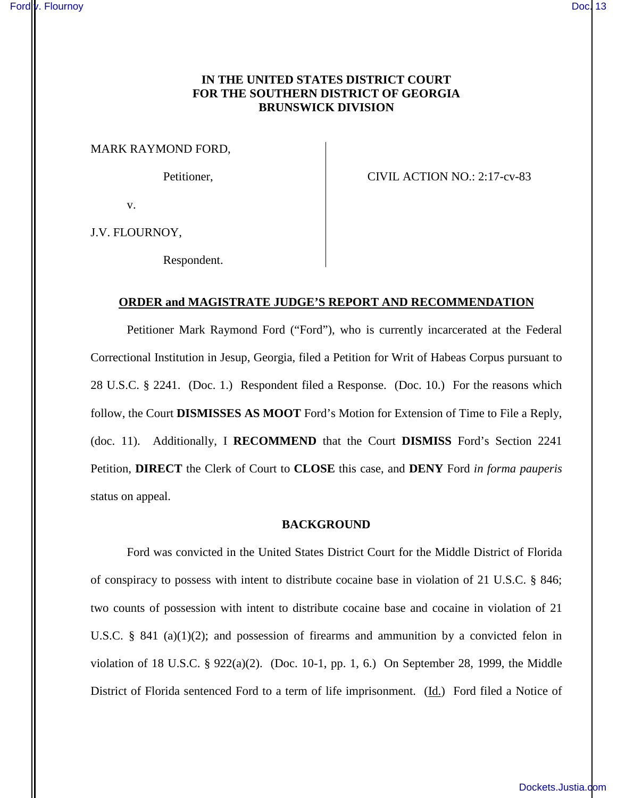# **IN THE UNITED STATES DISTRICT COURT FOR THE SOUTHERN DISTRICT OF GEORGIA BRUNSWICK DIVISION**

MARK RAYMOND FORD,

Petitioner, CIVIL ACTION NO.: 2:17-cv-83

v.

J.V. FLOURNOY,

Respondent.

## **ORDER and MAGISTRATE JUDGE'S REPORT AND RECOMMENDATION**

Petitioner Mark Raymond Ford ("Ford"), who is currently incarcerated at the Federal Correctional Institution in Jesup, Georgia, filed a Petition for Writ of Habeas Corpus pursuant to 28 U.S.C. § 2241. (Doc. 1.) Respondent filed a Response. (Doc. 10.) For the reasons which follow, the Court **DISMISSES AS MOOT** Ford's Motion for Extension of Time to File a Reply, (doc. 11). Additionally, I **RECOMMEND** that the Court **DISMISS** Ford's Section 2241 Petition, **DIRECT** the Clerk of Court to **CLOSE** this case, and **DENY** Ford *in forma pauperis* status on appeal.

### **BACKGROUND**

Ford was convicted in the United States District Court for the Middle District of Florida of conspiracy to possess with intent to distribute cocaine base in violation of 21 U.S.C. § 846; two counts of possession with intent to distribute cocaine base and cocaine in violation of 21 U.S.C. § 841 (a)(1)(2); and possession of firearms and ammunition by a convicted felon in violation of 18 U.S.C. § 922(a)(2). (Doc. 10-1, pp. 1, 6.) On September 28, 1999, the Middle District of Florida sentenced Ford to a term of life imprisonment. (Id.) Ford filed a Notice of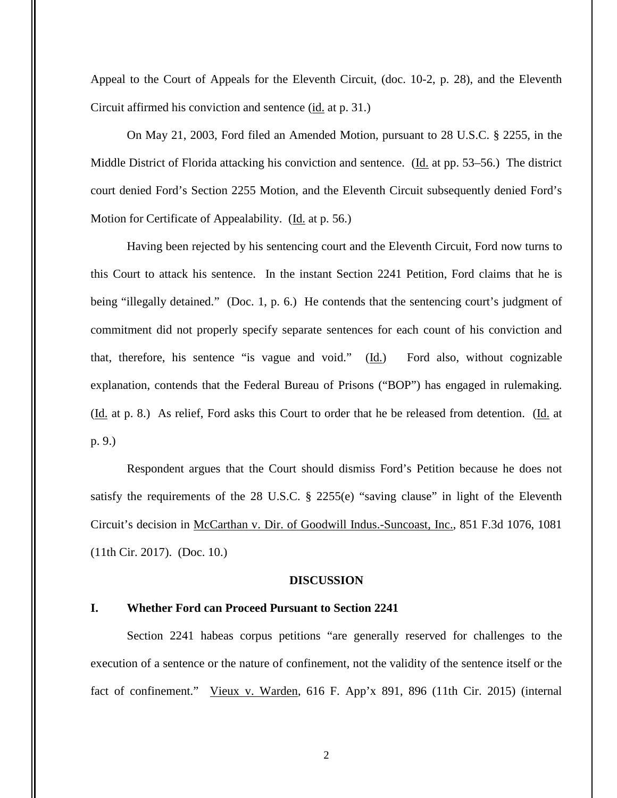Appeal to the Court of Appeals for the Eleventh Circuit, (doc. 10-2, p. 28), and the Eleventh Circuit affirmed his conviction and sentence (id. at p. 31.)

On May 21, 2003, Ford filed an Amended Motion, pursuant to 28 U.S.C. § 2255, in the Middle District of Florida attacking his conviction and sentence. (Id. at pp. 53–56.) The district court denied Ford's Section 2255 Motion, and the Eleventh Circuit subsequently denied Ford's Motion for Certificate of Appealability. (Id. at p. 56.)

Having been rejected by his sentencing court and the Eleventh Circuit, Ford now turns to this Court to attack his sentence. In the instant Section 2241 Petition, Ford claims that he is being "illegally detained." (Doc. 1, p. 6.) He contends that the sentencing court's judgment of commitment did not properly specify separate sentences for each count of his conviction and that, therefore, his sentence "is vague and void." (Id.) Ford also, without cognizable explanation, contends that the Federal Bureau of Prisons ("BOP") has engaged in rulemaking. (Id. at p. 8.) As relief, Ford asks this Court to order that he be released from detention. (Id. at p. 9.)

 Respondent argues that the Court should dismiss Ford's Petition because he does not satisfy the requirements of the 28 U.S.C. § 2255(e) "saving clause" in light of the Eleventh Circuit's decision in McCarthan v. Dir. of Goodwill Indus.-Suncoast, Inc., 851 F.3d 1076, 1081 (11th Cir. 2017). (Doc. 10.)

#### **DISCUSSION**

## **I. Whether Ford can Proceed Pursuant to Section 2241**

Section 2241 habeas corpus petitions "are generally reserved for challenges to the execution of a sentence or the nature of confinement, not the validity of the sentence itself or the fact of confinement." Vieux v. Warden, 616 F. App'x 891, 896 (11th Cir. 2015) (internal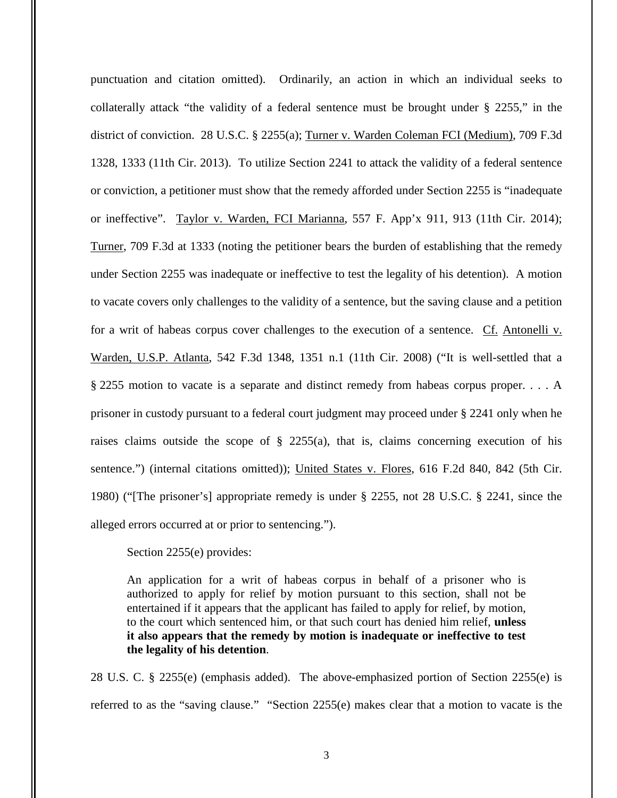punctuation and citation omitted). Ordinarily, an action in which an individual seeks to collaterally attack "the validity of a federal sentence must be brought under § 2255," in the district of conviction. 28 U.S.C. § 2255(a); Turner v. Warden Coleman FCI (Medium), 709 F.3d 1328, 1333 (11th Cir. 2013). To utilize Section 2241 to attack the validity of a federal sentence or conviction, a petitioner must show that the remedy afforded under Section 2255 is "inadequate or ineffective". Taylor v. Warden, FCI Marianna, 557 F. App'x 911, 913 (11th Cir. 2014); Turner, 709 F.3d at 1333 (noting the petitioner bears the burden of establishing that the remedy under Section 2255 was inadequate or ineffective to test the legality of his detention). A motion to vacate covers only challenges to the validity of a sentence, but the saving clause and a petition for a writ of habeas corpus cover challenges to the execution of a sentence. Cf. Antonelli v. Warden, U.S.P. Atlanta, 542 F.3d 1348, 1351 n.1 (11th Cir. 2008) ("It is well-settled that a § 2255 motion to vacate is a separate and distinct remedy from habeas corpus proper. . . . A prisoner in custody pursuant to a federal court judgment may proceed under § 2241 only when he raises claims outside the scope of  $\S$  2255(a), that is, claims concerning execution of his sentence.") (internal citations omitted)); United States v. Flores, 616 F.2d 840, 842 (5th Cir. 1980) ("[The prisoner's] appropriate remedy is under § 2255, not 28 U.S.C. § 2241, since the alleged errors occurred at or prior to sentencing.").

Section 2255(e) provides:

An application for a writ of habeas corpus in behalf of a prisoner who is authorized to apply for relief by motion pursuant to this section, shall not be entertained if it appears that the applicant has failed to apply for relief, by motion, to the court which sentenced him, or that such court has denied him relief, **unless it also appears that the remedy by motion is inadequate or ineffective to test the legality of his detention**.

28 U.S. C. § 2255(e) (emphasis added). The above-emphasized portion of Section 2255(e) is referred to as the "saving clause." "Section 2255(e) makes clear that a motion to vacate is the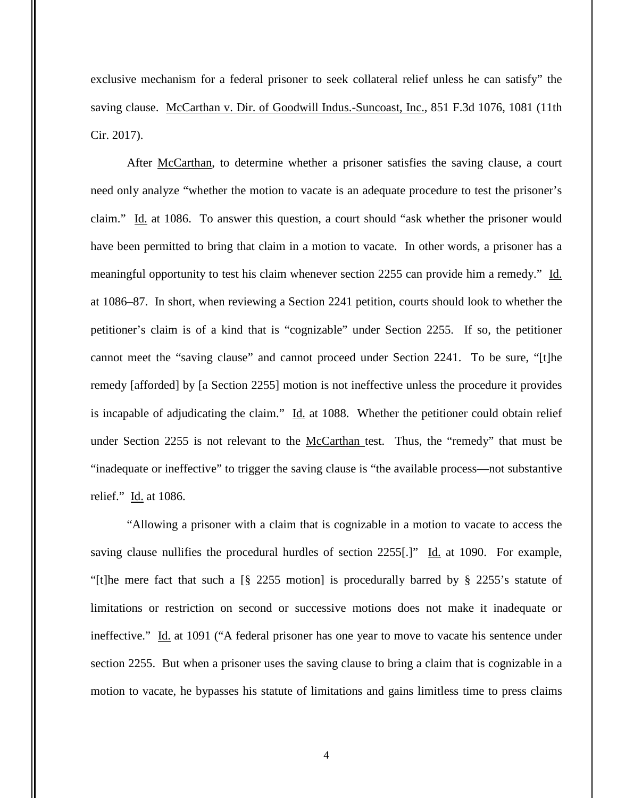exclusive mechanism for a federal prisoner to seek collateral relief unless he can satisfy" the saving clause. McCarthan v. Dir. of Goodwill Indus.-Suncoast, Inc., 851 F.3d 1076, 1081 (11th Cir. 2017).

 After McCarthan, to determine whether a prisoner satisfies the saving clause, a court need only analyze "whether the motion to vacate is an adequate procedure to test the prisoner's claim." Id. at 1086. To answer this question, a court should "ask whether the prisoner would have been permitted to bring that claim in a motion to vacate. In other words, a prisoner has a meaningful opportunity to test his claim whenever section 2255 can provide him a remedy." Id. at 1086–87. In short, when reviewing a Section 2241 petition, courts should look to whether the petitioner's claim is of a kind that is "cognizable" under Section 2255. If so, the petitioner cannot meet the "saving clause" and cannot proceed under Section 2241. To be sure, "[t]he remedy [afforded] by [a Section 2255] motion is not ineffective unless the procedure it provides is incapable of adjudicating the claim." Id. at 1088. Whether the petitioner could obtain relief under Section 2255 is not relevant to the McCarthan test. Thus, the "remedy" that must be "inadequate or ineffective" to trigger the saving clause is "the available process—not substantive relief." Id. at 1086.

"Allowing a prisoner with a claim that is cognizable in a motion to vacate to access the saving clause nullifies the procedural hurdles of section  $2255$ [.]" Id. at 1090. For example, "[t]he mere fact that such a [§ 2255 motion] is procedurally barred by § 2255's statute of limitations or restriction on second or successive motions does not make it inadequate or ineffective." Id. at 1091 ("A federal prisoner has one year to move to vacate his sentence under section 2255. But when a prisoner uses the saving clause to bring a claim that is cognizable in a motion to vacate, he bypasses his statute of limitations and gains limitless time to press claims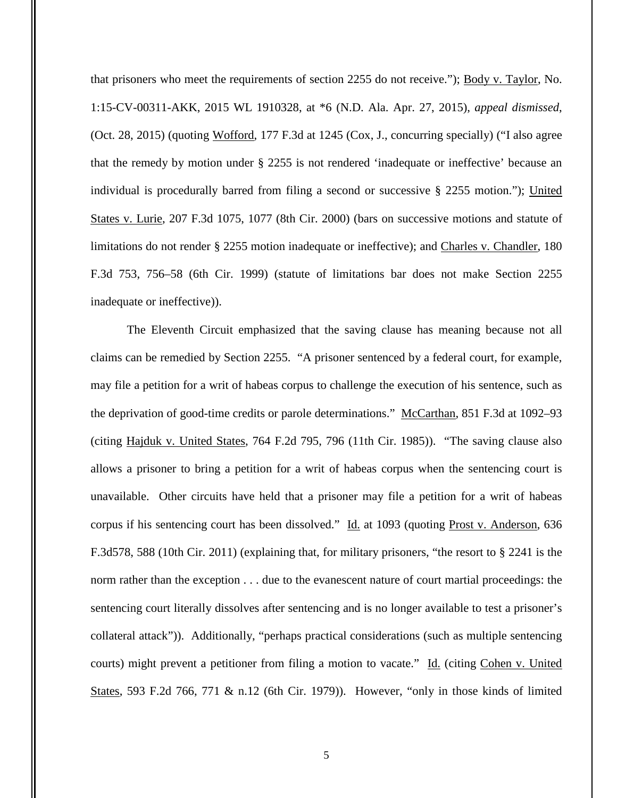that prisoners who meet the requirements of section 2255 do not receive."); Body v. Taylor, No. 1:15-CV-00311-AKK, 2015 WL 1910328, at \*6 (N.D. Ala. Apr. 27, 2015), *appeal dismissed*, (Oct. 28, 2015) (quoting Wofford, 177 F.3d at 1245 (Cox, J., concurring specially) ("I also agree that the remedy by motion under § 2255 is not rendered 'inadequate or ineffective' because an individual is procedurally barred from filing a second or successive § 2255 motion."); United States v. Lurie, 207 F.3d 1075, 1077 (8th Cir. 2000) (bars on successive motions and statute of limitations do not render § 2255 motion inadequate or ineffective); and Charles v. Chandler, 180 F.3d 753, 756–58 (6th Cir. 1999) (statute of limitations bar does not make Section 2255 inadequate or ineffective)).

The Eleventh Circuit emphasized that the saving clause has meaning because not all claims can be remedied by Section 2255. "A prisoner sentenced by a federal court, for example, may file a petition for a writ of habeas corpus to challenge the execution of his sentence, such as the deprivation of good-time credits or parole determinations." McCarthan, 851 F.3d at 1092–93 (citing Hajduk v. United States, 764 F.2d 795, 796 (11th Cir. 1985)). "The saving clause also allows a prisoner to bring a petition for a writ of habeas corpus when the sentencing court is unavailable. Other circuits have held that a prisoner may file a petition for a writ of habeas corpus if his sentencing court has been dissolved." Id. at 1093 (quoting Prost v. Anderson, 636 F.3d578, 588 (10th Cir. 2011) (explaining that, for military prisoners, "the resort to § 2241 is the norm rather than the exception . . . due to the evanescent nature of court martial proceedings: the sentencing court literally dissolves after sentencing and is no longer available to test a prisoner's collateral attack")). Additionally, "perhaps practical considerations (such as multiple sentencing courts) might prevent a petitioner from filing a motion to vacate." Id. (citing Cohen v. United States, 593 F.2d 766, 771 & n.12 (6th Cir. 1979)). However, "only in those kinds of limited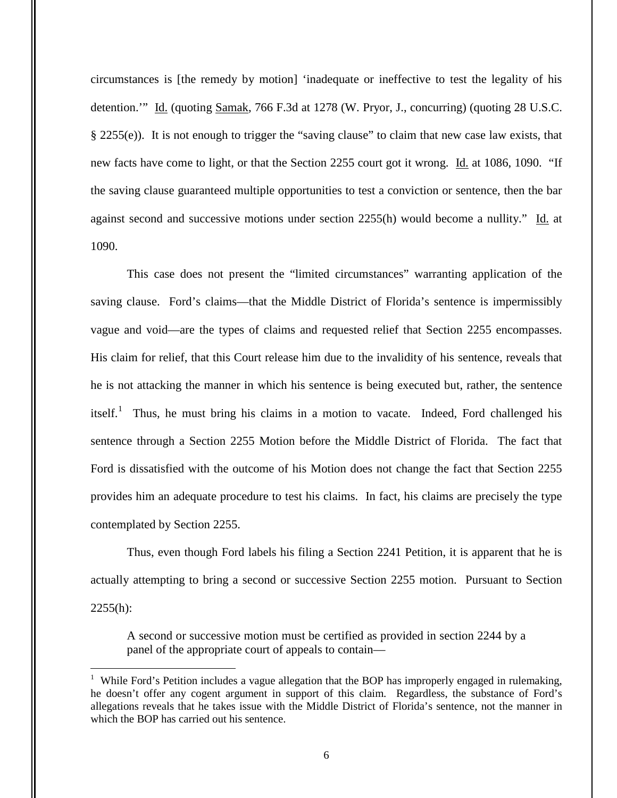circumstances is [the remedy by motion] 'inadequate or ineffective to test the legality of his detention.'" Id. (quoting Samak, 766 F.3d at 1278 (W. Pryor, J., concurring) (quoting 28 U.S.C. § 2255(e)). It is not enough to trigger the "saving clause" to claim that new case law exists, that new facts have come to light, or that the Section 2255 court got it wrong. Id. at 1086, 1090. "If the saving clause guaranteed multiple opportunities to test a conviction or sentence, then the bar against second and successive motions under section 2255(h) would become a nullity." Id. at 1090.

This case does not present the "limited circumstances" warranting application of the saving clause. Ford's claims—that the Middle District of Florida's sentence is impermissibly vague and void—are the types of claims and requested relief that Section 2255 encompasses. His claim for relief, that this Court release him due to the invalidity of his sentence, reveals that he is not attacking the manner in which his sentence is being executed but, rather, the sentence itself.<sup>1</sup> Thus, he must bring his claims in a motion to vacate. Indeed, Ford challenged his sentence through a Section 2255 Motion before the Middle District of Florida. The fact that Ford is dissatisfied with the outcome of his Motion does not change the fact that Section 2255 provides him an adequate procedure to test his claims. In fact, his claims are precisely the type contemplated by Section 2255.

 Thus, even though Ford labels his filing a Section 2241 Petition, it is apparent that he is actually attempting to bring a second or successive Section 2255 motion. Pursuant to Section  $2255(h):$ 

A second or successive motion must be certified as provided in section 2244 by a panel of the appropriate court of appeals to contain—

 $\overline{a}$ 

<sup>&</sup>lt;sup>1</sup> While Ford's Petition includes a vague allegation that the BOP has improperly engaged in rulemaking, he doesn't offer any cogent argument in support of this claim. Regardless, the substance of Ford's allegations reveals that he takes issue with the Middle District of Florida's sentence, not the manner in which the BOP has carried out his sentence.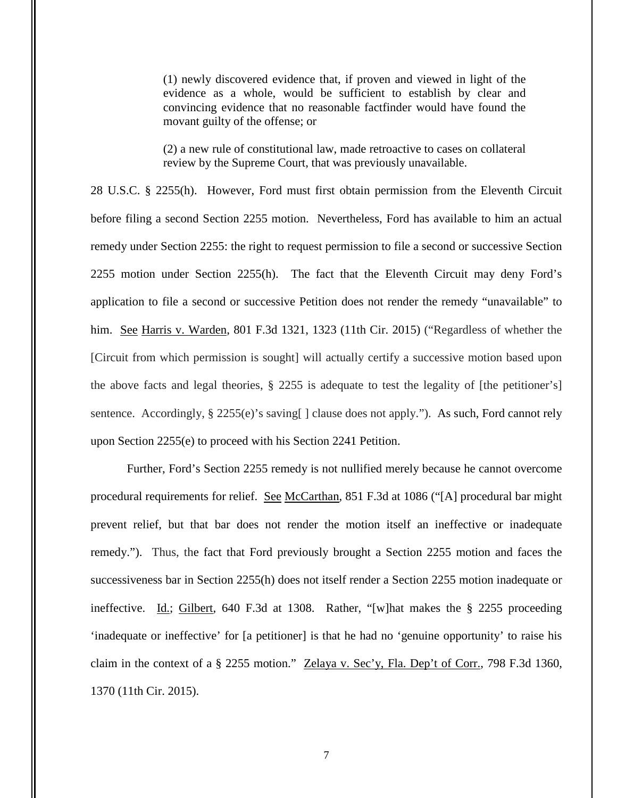(1) newly discovered evidence that, if proven and viewed in light of the evidence as a whole, would be sufficient to establish by clear and convincing evidence that no reasonable factfinder would have found the movant guilty of the offense; or

(2) a new rule of constitutional law, made retroactive to cases on collateral review by the Supreme Court, that was previously unavailable.

28 U.S.C. § 2255(h). However, Ford must first obtain permission from the Eleventh Circuit before filing a second Section 2255 motion. Nevertheless, Ford has available to him an actual remedy under Section 2255: the right to request permission to file a second or successive Section 2255 motion under Section 2255(h). The fact that the Eleventh Circuit may deny Ford's application to file a second or successive Petition does not render the remedy "unavailable" to him. See Harris v. Warden, 801 F.3d 1321, 1323 (11th Cir. 2015) ("Regardless of whether the [Circuit from which permission is sought] will actually certify a successive motion based upon the above facts and legal theories, § 2255 is adequate to test the legality of [the petitioner's] sentence. Accordingly, § 2255(e)'s saving [] clause does not apply."). As such, Ford cannot rely upon Section 2255(e) to proceed with his Section 2241 Petition.

Further, Ford's Section 2255 remedy is not nullified merely because he cannot overcome procedural requirements for relief. See McCarthan, 851 F.3d at 1086 ("[A] procedural bar might prevent relief, but that bar does not render the motion itself an ineffective or inadequate remedy."). Thus, the fact that Ford previously brought a Section 2255 motion and faces the successiveness bar in Section 2255(h) does not itself render a Section 2255 motion inadequate or ineffective. Id.; Gilbert, 640 F.3d at 1308. Rather, "[w]hat makes the § 2255 proceeding 'inadequate or ineffective' for [a petitioner] is that he had no 'genuine opportunity' to raise his claim in the context of a § 2255 motion." Zelaya v. Sec'y, Fla. Dep't of Corr., 798 F.3d 1360, 1370 (11th Cir. 2015).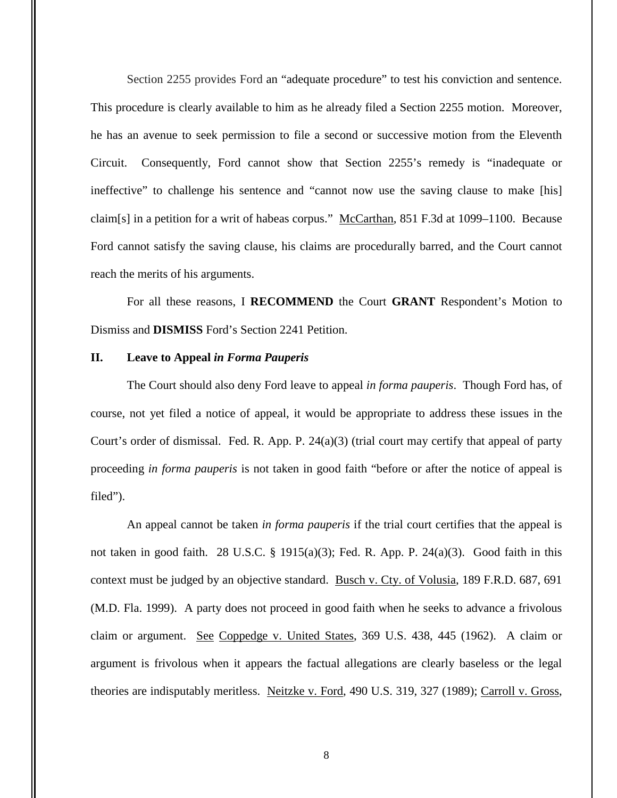Section 2255 provides Ford an "adequate procedure" to test his conviction and sentence. This procedure is clearly available to him as he already filed a Section 2255 motion. Moreover, he has an avenue to seek permission to file a second or successive motion from the Eleventh Circuit. Consequently, Ford cannot show that Section 2255's remedy is "inadequate or ineffective" to challenge his sentence and "cannot now use the saving clause to make [his] claim[s] in a petition for a writ of habeas corpus." McCarthan, 851 F.3d at 1099–1100. Because Ford cannot satisfy the saving clause, his claims are procedurally barred, and the Court cannot reach the merits of his arguments.

For all these reasons, I **RECOMMEND** the Court **GRANT** Respondent's Motion to Dismiss and **DISMISS** Ford's Section 2241 Petition.

### **II. Leave to Appeal** *in Forma Pauperis*

The Court should also deny Ford leave to appeal *in forma pauperis*. Though Ford has, of course, not yet filed a notice of appeal, it would be appropriate to address these issues in the Court's order of dismissal. Fed. R. App. P.  $24(a)(3)$  (trial court may certify that appeal of party proceeding *in forma pauperis* is not taken in good faith "before or after the notice of appeal is filed").

An appeal cannot be taken *in forma pauperis* if the trial court certifies that the appeal is not taken in good faith. 28 U.S.C. § 1915(a)(3); Fed. R. App. P. 24(a)(3). Good faith in this context must be judged by an objective standard. Busch v. Cty. of Volusia, 189 F.R.D. 687, 691 (M.D. Fla. 1999). A party does not proceed in good faith when he seeks to advance a frivolous claim or argument. See Coppedge v. United States, 369 U.S. 438, 445 (1962). A claim or argument is frivolous when it appears the factual allegations are clearly baseless or the legal theories are indisputably meritless. Neitzke v. Ford, 490 U.S. 319, 327 (1989); Carroll v. Gross,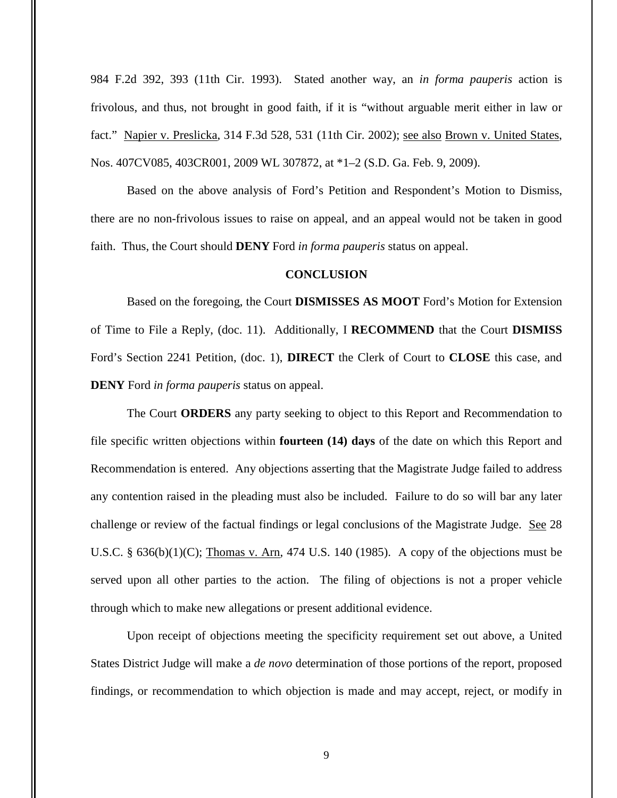984 F.2d 392, 393 (11th Cir. 1993). Stated another way, an *in forma pauperis* action is frivolous, and thus, not brought in good faith, if it is "without arguable merit either in law or fact." Napier v. Preslicka, 314 F.3d 528, 531 (11th Cir. 2002); see also Brown v. United States, Nos. 407CV085, 403CR001, 2009 WL 307872, at \*1–2 (S.D. Ga. Feb. 9, 2009).

Based on the above analysis of Ford's Petition and Respondent's Motion to Dismiss, there are no non-frivolous issues to raise on appeal, and an appeal would not be taken in good faith. Thus, the Court should **DENY** Ford *in forma pauperis* status on appeal.

## **CONCLUSION**

Based on the foregoing, the Court **DISMISSES AS MOOT** Ford's Motion for Extension of Time to File a Reply, (doc. 11). Additionally, I **RECOMMEND** that the Court **DISMISS** Ford's Section 2241 Petition, (doc. 1), **DIRECT** the Clerk of Court to **CLOSE** this case, and **DENY** Ford *in forma pauperis* status on appeal.

The Court **ORDERS** any party seeking to object to this Report and Recommendation to file specific written objections within **fourteen (14) days** of the date on which this Report and Recommendation is entered. Any objections asserting that the Magistrate Judge failed to address any contention raised in the pleading must also be included. Failure to do so will bar any later challenge or review of the factual findings or legal conclusions of the Magistrate Judge. See 28 U.S.C.  $\S$  636(b)(1)(C); Thomas v. Arn, 474 U.S. 140 (1985). A copy of the objections must be served upon all other parties to the action. The filing of objections is not a proper vehicle through which to make new allegations or present additional evidence.

Upon receipt of objections meeting the specificity requirement set out above, a United States District Judge will make a *de novo* determination of those portions of the report, proposed findings, or recommendation to which objection is made and may accept, reject, or modify in